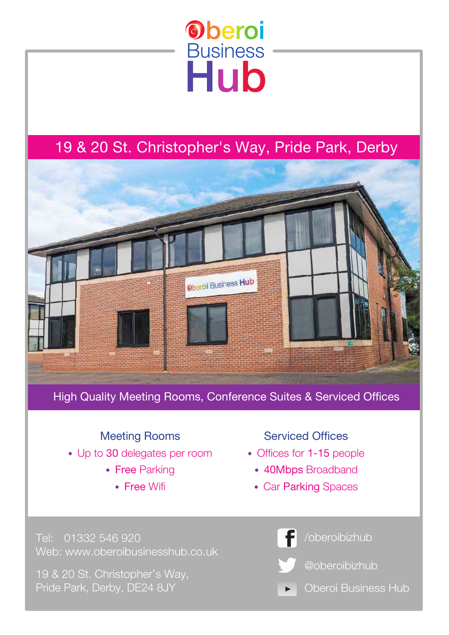# **Oberoi Business** Hub

## 19 & 20 St. Christopher's Way, Pride Park, Derby



High Quality Meeting Rooms, Conference Suites & Serviced Offices

### Meeting Rooms

- Up to 30 delegates per room
	- Free Parking
		- Free Wifi

**Serviced Offices** 

- Offices for 1-15 people
	- 40Mbps Broadband
	- Car Parking Spaces

Tel: 01332 546 920 Web: www.oberoibusinesshub.co.uk

19 & 20 St. Christopher's Way, Pride Park, Derby, DE24 8JY

/oberoibizhub @oberoibizhub

Oberoi Business Hub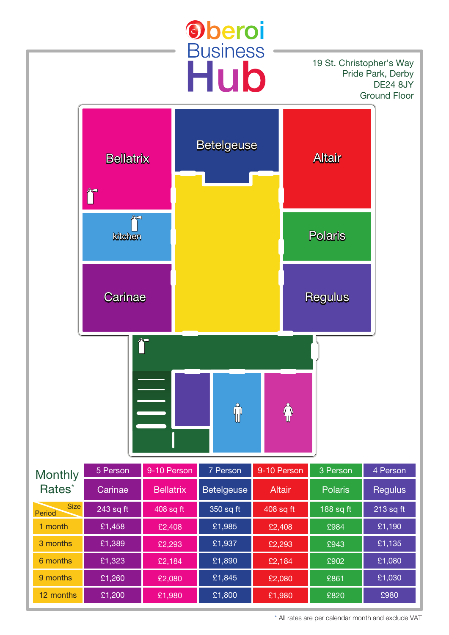

\* All rates are per calendar month and exclude VAT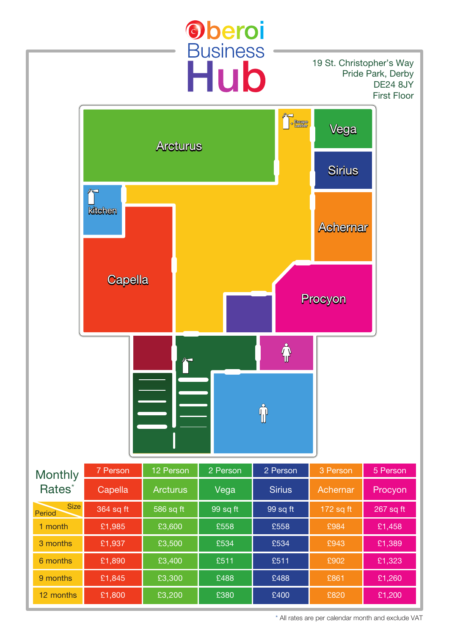

\* All rates are per calendar month and exclude VAT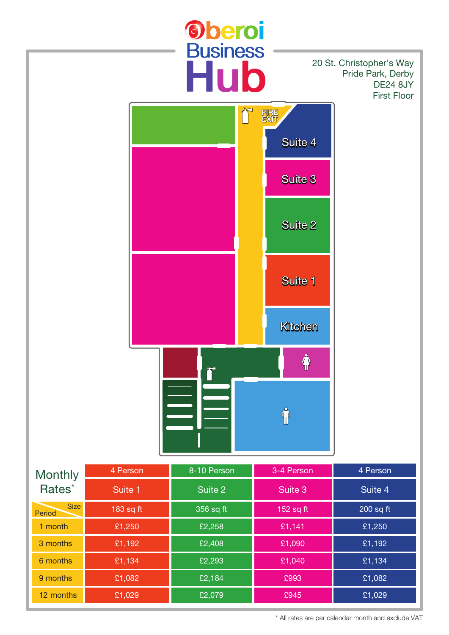

\* All rates are per calendar month and exclude VAT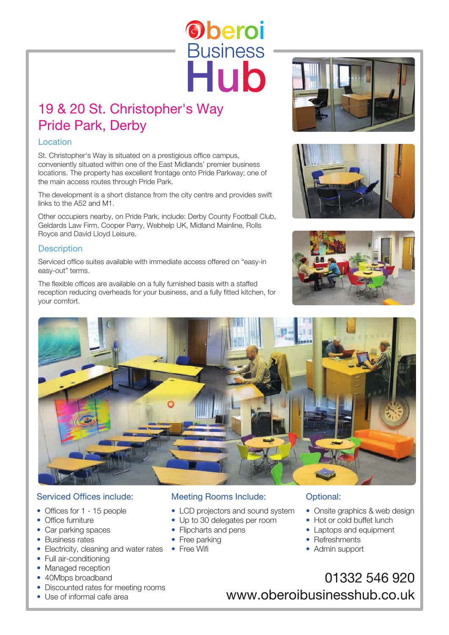### 19 & 20 St. Christopher's Way Pride Park, Derby

#### Location

St. Christopher's Way is situated on a prestigious office campus, conveniently situated within one of the East Midlands' premier business locations. The property has excellent frontage onto Pride Parkway; one of the main access routes through Pride Park.

The development is a short distance from the city centre and provides swift links to the A52 and M1.

Other occupiers nearby, on Pride Park, include: Derby County Football Club, Geldards Law Firm, Cooper Parry, Webhelp UK, Midland Mainline, Rolls Royce and David Lloyd Leisure.

#### **Description**

Serviced office suites available with immediate access offered on "easy-in easy-out" terms.

The flexible offices are available on a fully furnished basis with a staffed reception reducing overheads for your business, and a fully fitted kitchen, for your comfort.









**Oberoi** 

**Business** 

Hub

#### Serviced Offices include:

- Offices for 1 15 people
- Office furniture
- Car parking spaces
- Business rates
- Electricity, cleaning and water rates Free Wifi
- Full air-conditioning
- Managed reception
- 40Mbps broadband
- Discounted rates for meeting rooms
- Use of informal cafe area

#### Meeting Rooms Include:

- LCD projectors and sound system
- Up to 30 delegates per room
- Flipcharts and pens
- Free parking
- 

#### Optional:

- Onsite graphics & web design
- Hot or cold buffet lunch
- Laptops and equipment
- Refreshments
- Admin support
- 01332 546 920 www.oberoibusinesshub.co.uk